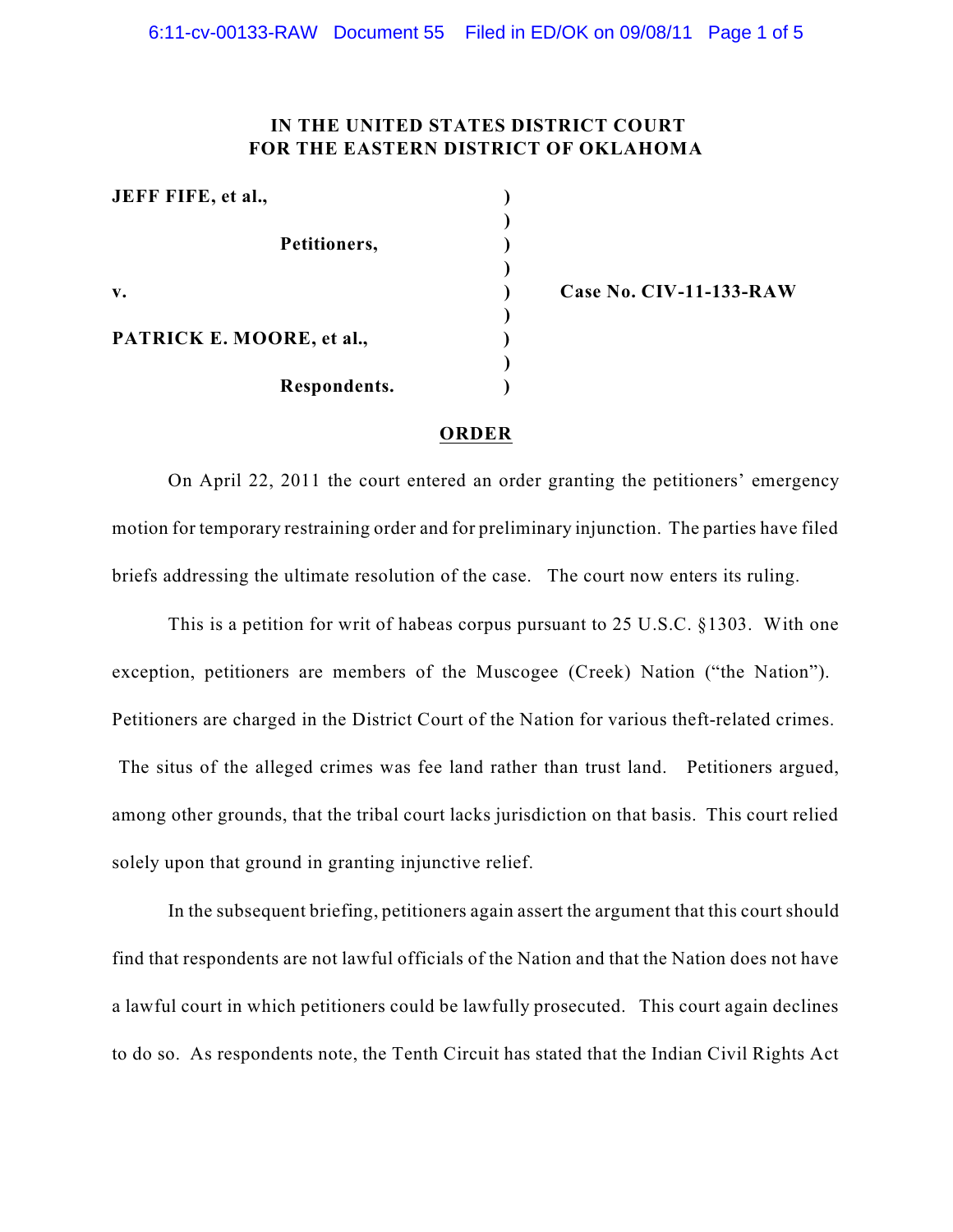# **IN THE UNITED STATES DISTRICT COURT FOR THE EASTERN DISTRICT OF OKLAHOMA**

| JEFF FIFE, et al.,        |  |
|---------------------------|--|
|                           |  |
| Petitioners,              |  |
|                           |  |
| $V_{\bullet}$             |  |
|                           |  |
| PATRICK E. MOORE, et al., |  |
|                           |  |
| Respondents.              |  |

**v. ) Case No. CIV-11-133-RAW**

#### **ORDER**

On April 22, 2011 the court entered an order granting the petitioners' emergency motion for temporary restraining order and for preliminary injunction. The parties have filed briefs addressing the ultimate resolution of the case. The court now enters its ruling.

This is a petition for writ of habeas corpus pursuant to 25 U.S.C. §1303. With one exception, petitioners are members of the Muscogee (Creek) Nation ("the Nation"). Petitioners are charged in the District Court of the Nation for various theft-related crimes. The situs of the alleged crimes was fee land rather than trust land. Petitioners argued, among other grounds, that the tribal court lacks jurisdiction on that basis. This court relied solely upon that ground in granting injunctive relief.

In the subsequent briefing, petitioners again assert the argument that this court should find that respondents are not lawful officials of the Nation and that the Nation does not have a lawful court in which petitioners could be lawfully prosecuted. This court again declines to do so. As respondents note, the Tenth Circuit has stated that the Indian Civil Rights Act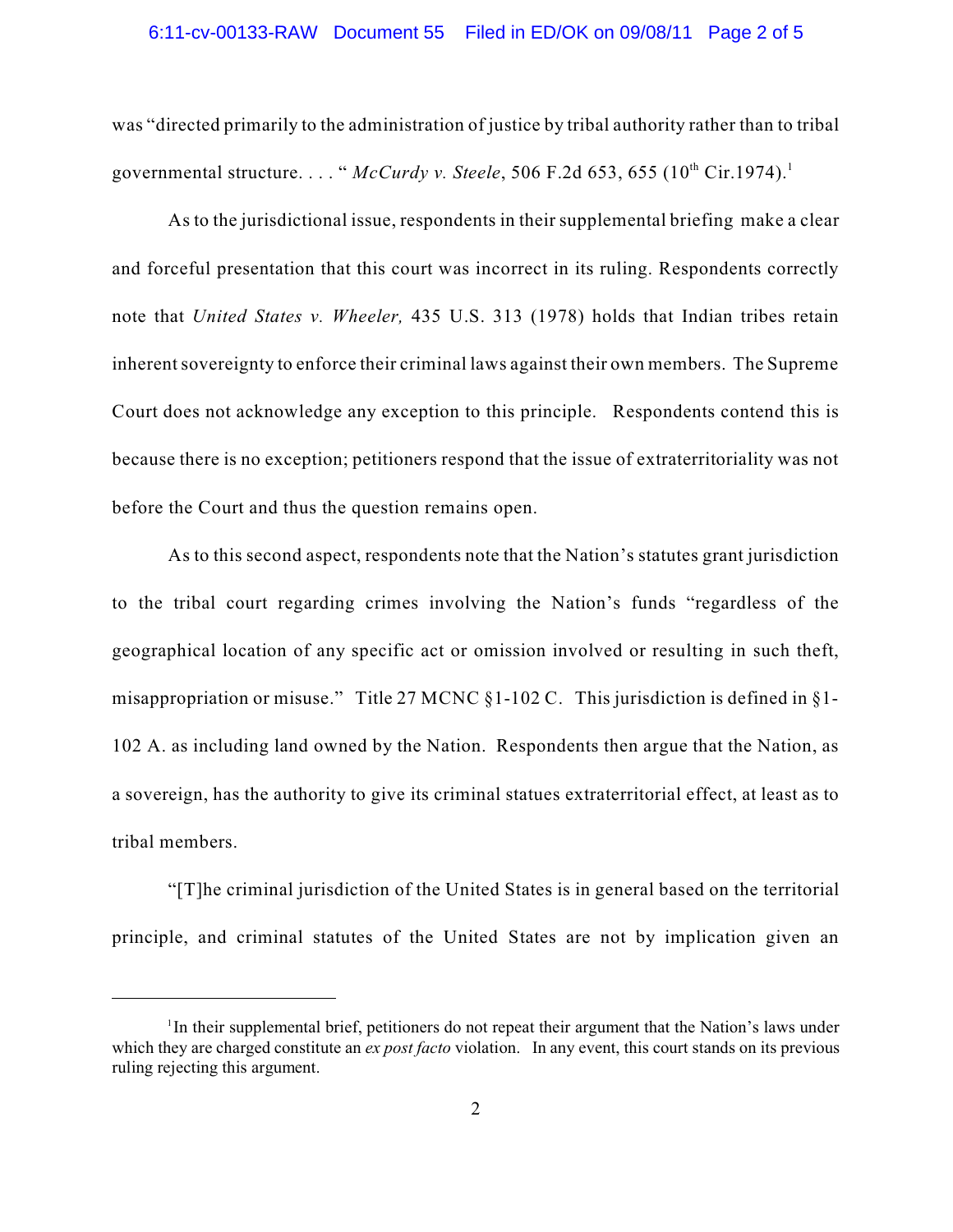#### 6:11-cv-00133-RAW Document 55 Filed in ED/OK on 09/08/11 Page 2 of 5

was "directed primarily to the administration of justice by tribal authority rather than to tribal governmental structure.... " *McCurdy v. Steele*, 506 F.2d 653, 655 (10<sup>th</sup> Cir.1974).<sup>1</sup>

As to the jurisdictional issue, respondents in their supplemental briefing make a clear and forceful presentation that this court was incorrect in its ruling. Respondents correctly note that *United States v. Wheeler,* 435 U.S. 313 (1978) holds that Indian tribes retain inherent sovereignty to enforce their criminal laws against their own members. The Supreme Court does not acknowledge any exception to this principle. Respondents contend this is because there is no exception; petitioners respond that the issue of extraterritoriality was not before the Court and thus the question remains open.

As to this second aspect, respondents note that the Nation's statutes grant jurisdiction to the tribal court regarding crimes involving the Nation's funds "regardless of the geographical location of any specific act or omission involved or resulting in such theft, misappropriation or misuse." Title 27 MCNC §1-102 C. This jurisdiction is defined in §1- 102 A. as including land owned by the Nation. Respondents then argue that the Nation, as a sovereign, has the authority to give its criminal statues extraterritorial effect, at least as to tribal members.

"[T]he criminal jurisdiction of the United States is in general based on the territorial principle, and criminal statutes of the United States are not by implication given an

In their supplemental brief, petitioners do not repeat their argument that the Nation's laws under which they are charged constitute an *ex post facto* violation. In any event, this court stands on its previous ruling rejecting this argument.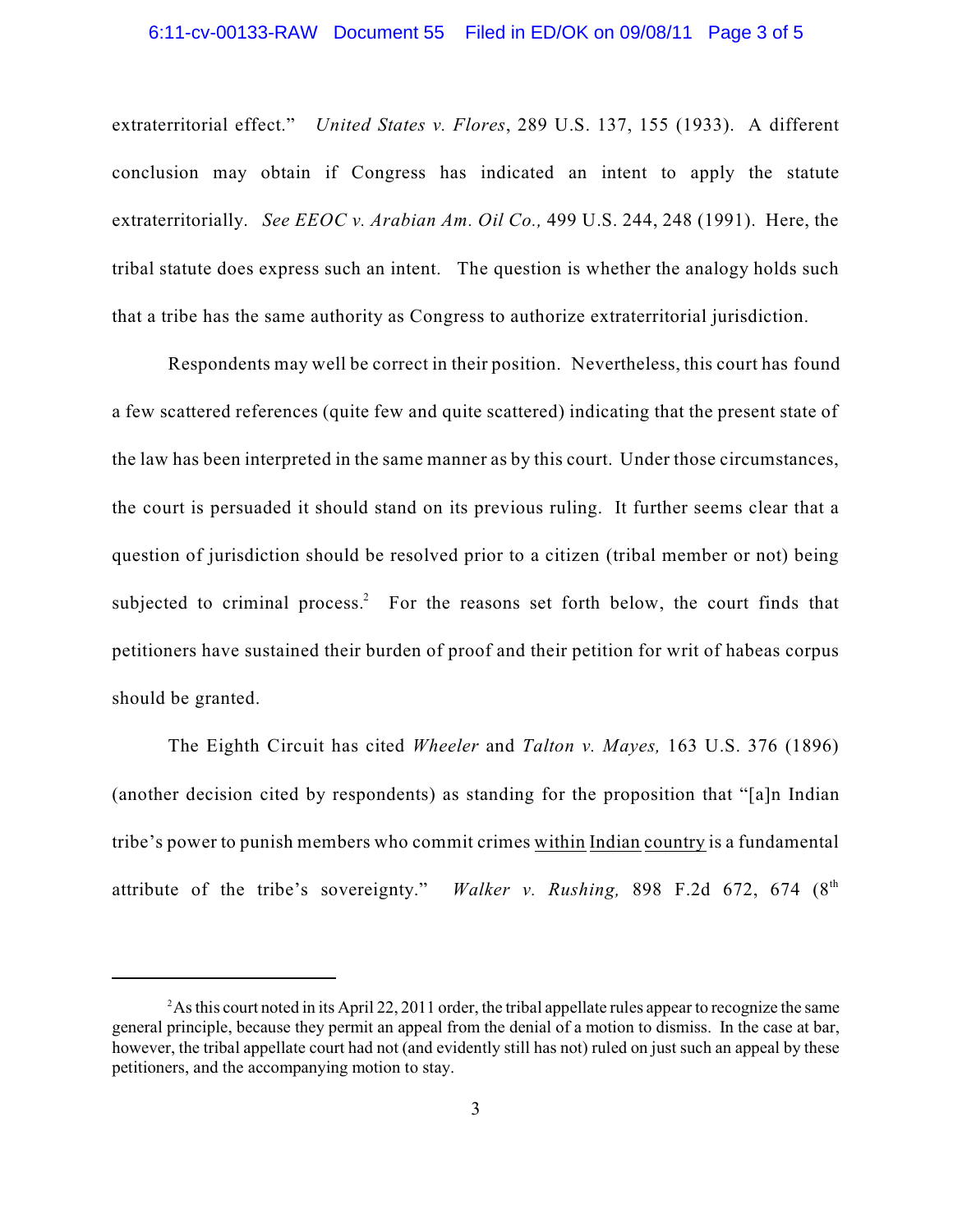### 6:11-cv-00133-RAW Document 55 Filed in ED/OK on 09/08/11 Page 3 of 5

extraterritorial effect." *United States v. Flores*, 289 U.S. 137, 155 (1933). A different conclusion may obtain if Congress has indicated an intent to apply the statute extraterritorially. *See EEOC v. Arabian Am. Oil Co.,* 499 U.S. 244, 248 (1991). Here, the tribal statute does express such an intent. The question is whether the analogy holds such that a tribe has the same authority as Congress to authorize extraterritorial jurisdiction.

Respondents may well be correct in their position. Nevertheless, this court has found a few scattered references (quite few and quite scattered) indicating that the present state of the law has been interpreted in the same manner as by this court. Under those circumstances, the court is persuaded it should stand on its previous ruling. It further seems clear that a question of jurisdiction should be resolved prior to a citizen (tribal member or not) being subjected to criminal process.<sup>2</sup> For the reasons set forth below, the court finds that petitioners have sustained their burden of proof and their petition for writ of habeas corpus should be granted.

The Eighth Circuit has cited *Wheeler* and *Talton v. Mayes,* 163 U.S. 376 (1896) (another decision cited by respondents) as standing for the proposition that "[a]n Indian tribe's power to punish members who commit crimes within Indian country is a fundamental attribute of the tribe's sovereignty." *Walker v. Rushing*, 898 F.2d 672, 674 (8<sup>th</sup>)

<sup>&</sup>lt;sup>2</sup>As this court noted in its April 22, 2011 order, the tribal appellate rules appear to recognize the same general principle, because they permit an appeal from the denial of a motion to dismiss. In the case at bar, however, the tribal appellate court had not (and evidently still has not) ruled on just such an appeal by these petitioners, and the accompanying motion to stay.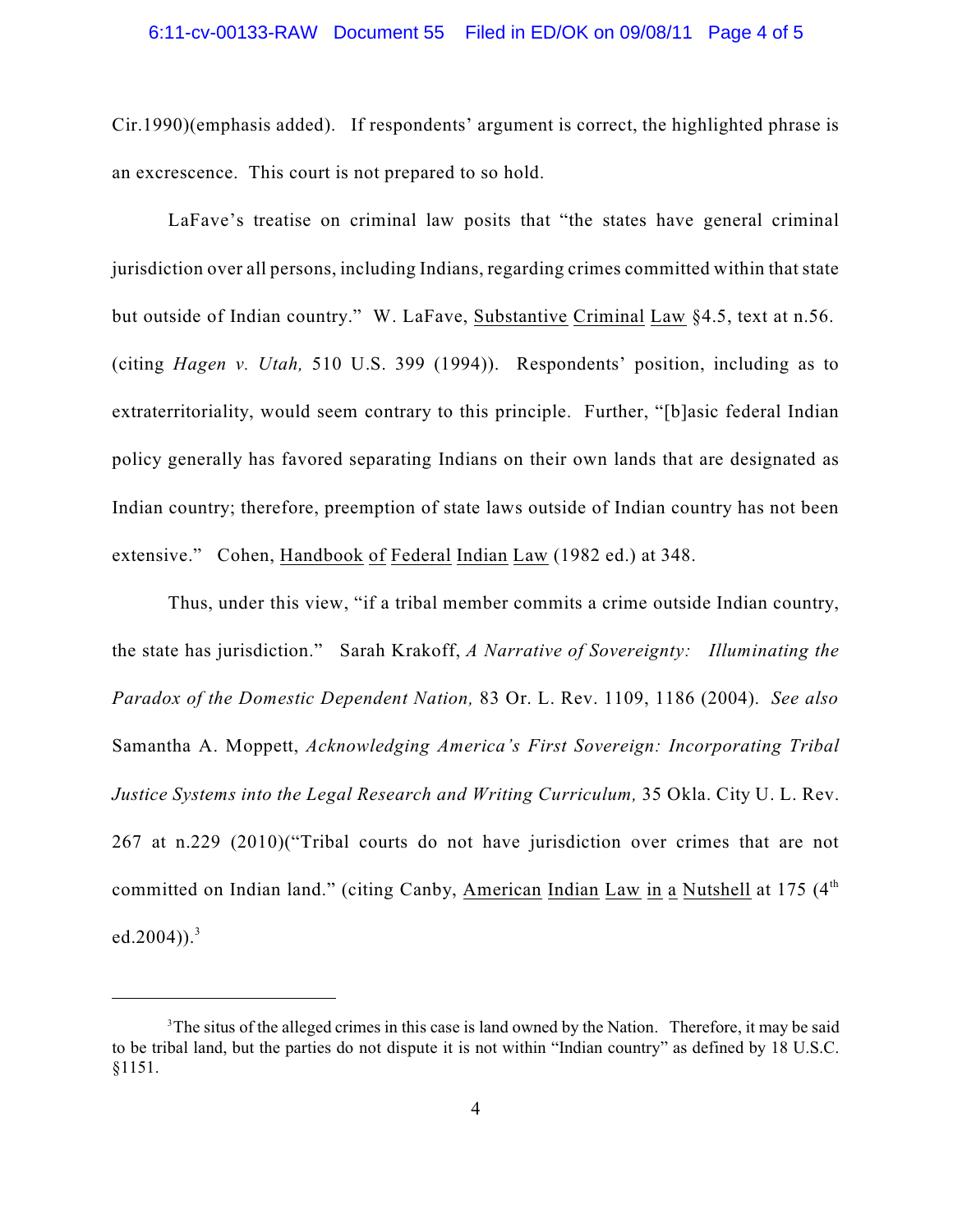### 6:11-cv-00133-RAW Document 55 Filed in ED/OK on 09/08/11 Page 4 of 5

Cir.1990)(emphasis added). If respondents' argument is correct, the highlighted phrase is an excrescence. This court is not prepared to so hold.

LaFave's treatise on criminal law posits that "the states have general criminal jurisdiction over all persons, including Indians, regarding crimes committed within that state but outside of Indian country." W. LaFave, Substantive Criminal Law §4.5, text at n.56. (citing *Hagen v. Utah,* 510 U.S. 399 (1994)). Respondents' position, including as to extraterritoriality, would seem contrary to this principle. Further, "[b]asic federal Indian policy generally has favored separating Indians on their own lands that are designated as Indian country; therefore, preemption of state laws outside of Indian country has not been extensive." Cohen, Handbook of Federal Indian Law (1982 ed.) at 348.

Thus, under this view, "if a tribal member commits a crime outside Indian country, the state has jurisdiction." Sarah Krakoff, *A Narrative of Sovereignty: Illuminating the Paradox of the Domestic Dependent Nation,* 83 Or. L. Rev. 1109, 1186 (2004). *See also* Samantha A. Moppett, *Acknowledging America's First Sovereign: Incorporating Tribal Justice Systems into the Legal Research and Writing Curriculum,* 35 Okla. City U. L. Rev. 267 at n.229 (2010)("Tribal courts do not have jurisdiction over crimes that are not committed on Indian land." (citing Canby, American Indian Law in a Nutshell at 175 (4<sup>th</sup> ed.2004)). 3

 $3$ The situs of the alleged crimes in this case is land owned by the Nation. Therefore, it may be said to be tribal land, but the parties do not dispute it is not within "Indian country" as defined by 18 U.S.C. §1151.